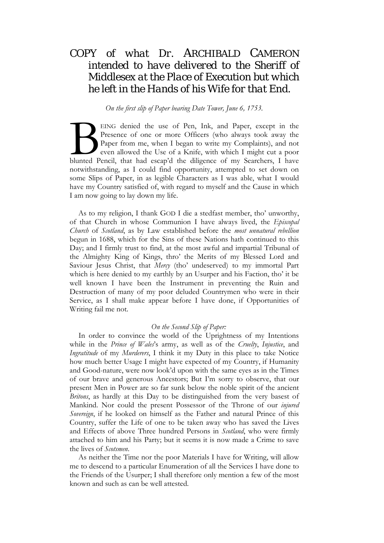# *COPY of what Dr.* ARCHIBALD CAMERON *intended to have delivered to the Sheriff of*  Middlesex *at the Place of Execution but which he left in the Hands of his Wife for that End.*

*On the first slip of Paper bearing Date Tower, June 6, 1753.*

EING denied the use of Pen, Ink, and Paper, except in the Presence of one or more Officers (who always took away the Paper from me, when I began to write my Complaints), and not even allowed the Use of a Knife, with which I might cut a poor EING denied the use of Pen, Ink, and Paper, except in the Presence of one or more Officers (who always took away the Paper from me, when I began to write my Complaints), and not even allowed the Use of a Knife, with which notwithstanding, as I could find opportunity, attempted to set down on some Slips of Paper, in as legible Characters as I was able, what I would have my Country satisfied of, with regard to myself and the Cause in which I am now going to lay down my life.

As to my religion, I thank GOD I die a stedfast member, tho' unworthy, of that Church in whose Communion I have always lived, the *Episcopal Church* of *Scotland*, as by Law established before the *most unnatural rebellion* begun in 1688, which for the Sins of these Nations hath continued to this Day; and I firmly trust to find, at the most awful and impartial Tribunal of the Almighty King of Kings, thro' the Merits of my Blessed Lord and Saviour Jesus Christ, that *Mercy* (tho' undeserved) to my immortal Part which is here denied to my earthly by an Usurper and his Faction, tho' it be well known I have been the Instrument in preventing the Ruin and Destruction of many of my poor deluded Countrymen who were in their Service, as I shall make appear before I have done, if Opportunities of Writing fail me not.

#### *On the Second Slip of Paper:*

In order to convince the world of the Uprightness of my Intentions while in the *Prince of Wales*'s army, as well as of the *Cruelty*, *Injustice*, and *Ingratitude* of my *Murderers*, I think it my Duty in this place to take Notice how much better Usage I might have expected of my Country, if Humanity and Good-nature, were now look'd upon with the same eyes as in the Times of our brave and generous Ancestors; But I'm sorry to observe, that our present Men in Power are so far sunk below the noble spirit of the ancient *Britons*, as hardly at this Day to be distinguished from the very basest of Mankind. Nor could the present Possessor of the Throne of our *injured Sovereign*, if he looked on himself as the Father and natural Prince of this Country, suffer the Life of one to be taken away who has saved the Lives and Effects of above Three hundred Persons in *Scotland*, who were firmly attached to him and his Party; but it seems it is now made a Crime to save the lives of *Scotsmen*.

As neither the Time nor the poor Materials I have for Writing, will allow me to descend to a particular Enumeration of all the Services I have done to the Friends of the Usurper; I shall therefore only mention a few of the most known and such as can be well attested.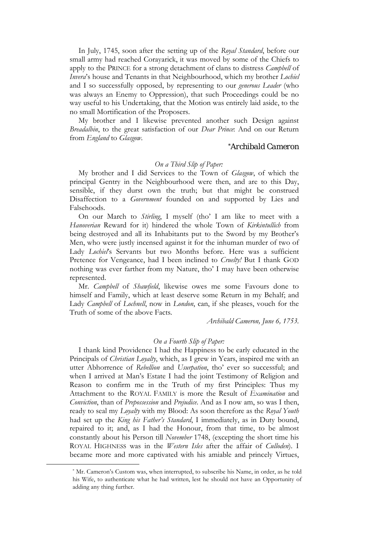In July, 1745, soon after the setting up of the *Royal Standard*, before our small army had reached Corayarick, it was moved by some of the Chiefs to apply to the PRINCE for a strong detachment of clans to distress *Campbell* of *Invera*'s house and Tenants in that Neighbourhood, which my brother *Lochiel*  and I so successfully opposed, by representing to our *generous Leader* (who was always an Enemy to Oppression), that such Proceedings could be no way useful to his Undertaking, that the Motion was entirely laid aside, to the no small Mortification of the Proposers.

My brother and I likewise prevented another such Design against *Breadalbin*, to the great satisfaction of our *Dear Prince*: And on our Return from *England* to *Glasgow*.

### *[\\*A](#page-1-0)rchibald Cameron*

#### *On a Third Slip of Paper:*

My brother and I did Services to the Town of *Glasgow*, of which the principal Gentry in the Neighbourhood were then, and are to this Day, sensible, if they durst own the truth; but that might be construed Disaffection to a *Government* founded on and supported by Lies and Falsehoods.

On our March to *Stirling*, I myself (tho' I am like to meet with a *Hanoverian* Reward for it) hindered the whole Town of *Kirkintullich* from being destroyed and all its Inhabitants put to the Sword by my Brother's Men, who were justly incensed against it for the inhuman murder of two of Lady *Lochiel*'s Servants but two Months before. Here was a sufficient Pretence for Vengeance, had I been inclined to *Cruelty!* But I thank GOD nothing was ever farther from my Nature, tho' I may have been otherwise represented.

Mr. *Campbell* of *Shawfield*, likewise owes me some Favours done to himself and Family, which at least deserve some Return in my Behalf; and Lady *Campbell* of *Lochnell*, now in *London*, can, if she pleases, vouch for the Truth of some of the above Facts.

*Archibald Cameron, June 6, 1753.*

#### *On a Fourth Slip of Paper:*

I thank kind Providence I had the Happiness to be early educated in the Principals of *Christian Loyalty*, which, as I grew in Years, inspired me with an utter Abhorrence of *Rebellion* and *Usurpation*, tho' ever so successful; and when I arrived at Man's Estate I had the joint Testimony of Religion and Reason to confirm me in the Truth of my first Principles: Thus my Attachment to the ROYAL FAMILY is more the Result of *Examination* and *Conviction*, than of *Prepossession* and *Prejudice*. And as I now am, so was I then, ready to seal my *Loyalty* with my Blood: As soon therefore as the *Royal Youth* had set up the *King his Father's Standard*, I immediately, as in Duty bound, repaired to it; and, as I had the Honour, from that time, to be almost constantly about his Person till *November* 1748, (excepting the short time his ROYAL HIGHNESS was in the *Western Isles* after the affair of *Culloden*). I became more and more captivated with his amiable and princely Virtues,

<span id="page-1-0"></span> $\overline{a}$ 

<sup>\*</sup> Mr. Cameron's Custom was, when interrupted, to subscribe his Name, in order, as he told his Wife, to authenticate what he had written, lest he should not have an Opportunity of adding any thing further.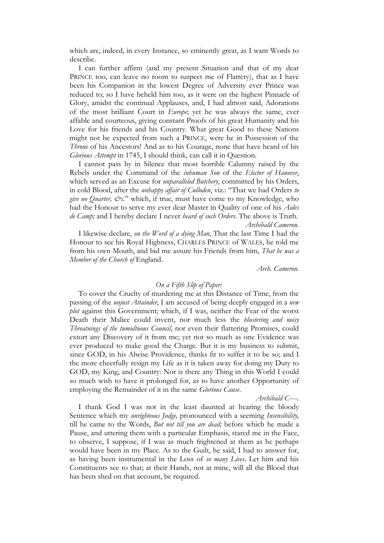which are, indeed, in every Instance, so eminently great, as I want Words to describe.

I can further affirm (and my present Situation and that of my dear PRINCE too, can leave no room to suspect me of Flattery), that as I have been his Companion in the lowest Degree of Adversity ever Prince was reduced to; so I have beheld him too, as it were on the highest Pinnacle of Glory, amidst the continual Applauses, and, I had almost said, Adorations of the most brilliant Court in *Europe*; yet he was always the same, ever affable and courteous, giving constant Proofs of his great Humanity and his Love for his friends and his Country. What great Good to these Nations might not be expected from such a PRINCE, were he in Possession of the *Throne* of his Ancestors! And as to his Courage, none that have heard of his *Glorious Attempt* in 1745, I should think, can call it in Question.

I cannot pass by in Silence that most horrible Calumny raised by the Rebels under the Command of the *inhuman Son* of the *Elector of Hanover*, which served as an Excuse for *unparalleled Butchery*, committed by his Orders, in cold Blood, after the *unhappy affair of Culloden*, viz.: "That we had Orders *to give no Quarter, &c.*" which, if true, must have come to my Knowledge, who had the Honour to serve my ever dear Master in Quality of one of his *Aides de Camp;* and I hereby declare I never *heard of such Orders*. The above is Truth. *Archibald Cameron.*

I likewise declare, *on the Word of a dying Man*, That the last Time I had the Honour to see his Royal Highness, CHARLES PRINCE of WALES, he told me from his own Mouth, and bid me assure his Friends from him, *That he was a Member of the Church of* England.

*Arch. Cameron.*

#### *On a Fifth Slip of Paper:*

To cover the Cruelty of murdering me at this Distance of Time, from the passing of the *unjust Attainder*, I am accused of being deeply engaged in a *new plot* against this Government; which, if I was, neither the Fear of the worst Death their Malice could invent, nor much less the *blustering and noisy Threatnings of the tumultuous Council*, nor even their flattering Promises, could extort any Discovery of it from me; yet not so much as one Evidence was ever produced to make good the Charge. But it is my business to submit, since GOD, in his Alwise Providence, thinks fit to suffer it to be so; and I the more cheerfully resign my Life as it is taken away for doing my Duty to GOD, my King, and Country: Nor is there any Thing in this World I could so much wish to have it prolonged for, as to have another Opportunity of employing the Remainder of it in the same *Glorious Cause*.

#### *Archibald C----.*

I thank God I was not in the least daunted at hearing the bloody Sentence which my *unrighteous Judge,* pronounced with a seeming *Insensibility,* till he came to the Words, *But not till you are dead;* before which he made a Pause, and uttering them with a particular Emphasis, stared me in the Face, to observe, I suppose, if I was as much frightened at them as he perhaps would have been in my Place. As to the Guilt, he said, I had to answer for, as having been instrumental in the Loss of *so many Lives*. Let him and his Constituents see to that; at their Hands, not at mine, will all the Blood that has been shed on that account, be required.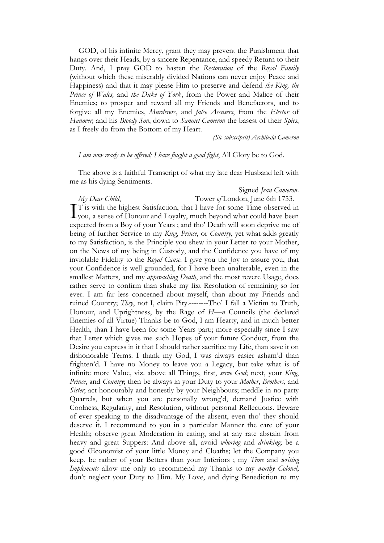GOD, of his infinite Mercy, grant they may prevent the Punishment that hangs over their Heads, by a sincere Repentance, and speedy Return to their Duty. And, I pray GOD to hasten the *Restoration* of the *Royal Family* (without which these miserably divided Nations can never enjoy Peace and Happiness) and that it may please Him to preserve and defend *the King, the Prince of Wales,* and *the Duke of York*, from the Power and Malice of their Enemies; to prosper and reward all my Friends and Benefactors, and to forgive all my Enemies, *Murderers*, and *false Accusers*, from the *Elector* of *Hanover,* and his *Bloody Son*, down to *Samuel Cameron* the basest of their *Spies*, as I freely do from the Bottom of my Heart.

*(Sic subscripsit) Archibald Cameron*

#### *I am now ready to be offered; I have fought a good fight*, All Glory be to God.

The above is a faithful Transcript of what my late dear Husband left with me as his dying Sentiments.

*My Dear Child*, Tower *of* London, June 6th 1753.

## Signed *Jean Cameron*.

T is with the highest Satisfaction, that I have for some Time observed in I'll is with the highest Satisfaction, that I have for some Time observed in you, a sense of Honour and Loyalty, much beyond what could have been expected from a Boy of your Years ; and tho' Death will soon deprive me of being of further Service to my *King*, *Prince*, or *Country*, yet what adds greatly to my Satisfaction, is the Principle you shew in your Letter to your Mother, on the News of my being in Custody, and the Confidence you have of my inviolable Fidelity to the *Royal Cause*. I give you the Joy to assure you, that your Confidence is well grounded, for I have been unalterable, even in the smallest Matters, and my *approaching Death*, and the most revere Usage, does rather serve to confirm than shake my fixt Resolution of remaining so for ever. I am far less concerned about myself, than about my Friends and ruined Country; *They*, not I, claim Pity.--------Tho' I fall a Victim to Truth, Honour, and Uprightness, by the Rage of *H—n* Councils (the declared Enemies of all Virtue) Thanks be to God, I am Hearty, and in much better Health, than I have been for some Years part:; more especially since I saw that Letter which gives me such Hopes of your future Conduct, from the Desire you express in it that I should rather sacrifice my Life, than save it on dishonorable Terms. I thank my God, I was always easier asham'd than frighten'd. I have no Money to leave you a Legacy, but take what is of infinite more Value, viz. above all Things, first, *serve God*; next, your *King*, *Prince*, and *Country*; then be always in your Duty to your *Mother*, *Brothers*, and *Sister*; act honourably and honestly by your Neighbours; meddle in no party Quarrels, but when you are personally wrong'd, demand Justice with Coolness, Regularity, and Resolution, without personal Reflections. Beware of ever speaking to the disadvantage of the absent, even tho' they should deserve it. I recommend to you in a particular Manner the care of your Health; observe great Moderation in eating, and at any rate abstain from heavy and great Suppers: And above all, avoid *whoring* and *drinking*; be a good Œconomist of your little Money and Cloaths; let the Company you keep, be rather of your Betters than your Inferiors ; my *Time* and *writing Implements* allow me only to recommend my Thanks to my *worthy Colonel*; don't neglect your Duty to Him. My Love, and dying Benediction to my